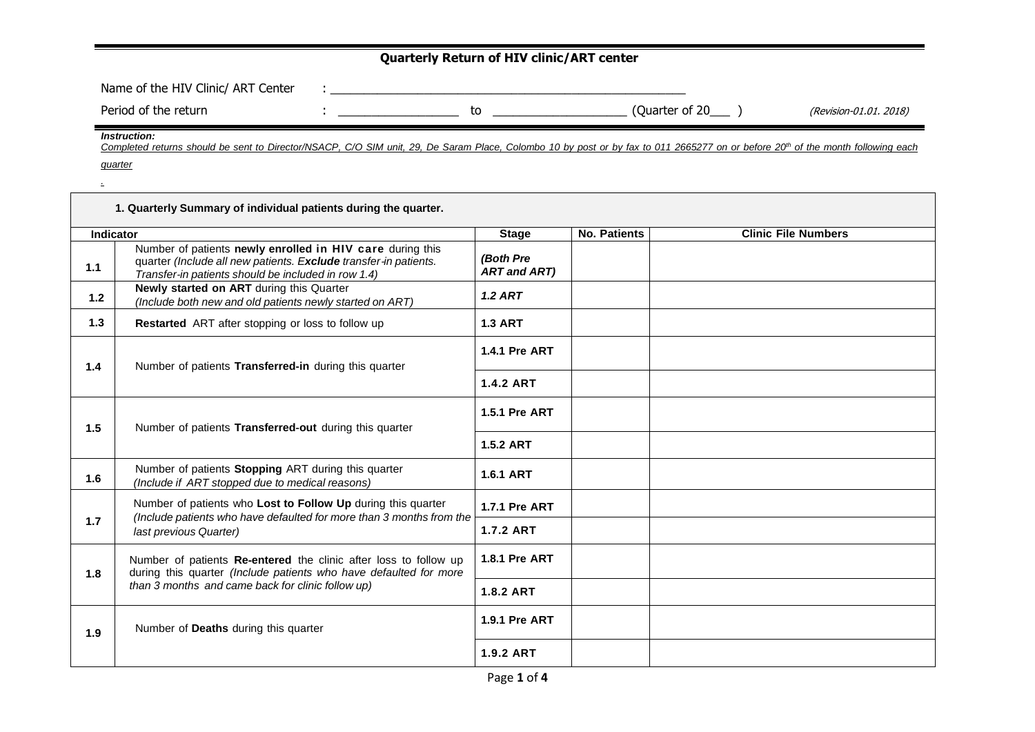## **Quarterly Return of HIV clinic/ART center**

| Name of the HIV Clinic/ ART Center |  |                |                        |
|------------------------------------|--|----------------|------------------------|
| Period of the return               |  | Ouarter of 20) | (Revision-01.01. 2018) |

*Instruction:*

Completed returns should be sent to Director/NSACP, C/O SIM unit, 29, De Saram Place, Colombo 10 by post or by fax to 011 2665277 on or before 20<sup>th</sup> of the month following each *quarter*

*.*

|                                                              | 1. Quarterly Summary of individual patients during the quarter.                                                                                                                      |                                  |              |                            |
|--------------------------------------------------------------|--------------------------------------------------------------------------------------------------------------------------------------------------------------------------------------|----------------------------------|--------------|----------------------------|
| Indicator                                                    |                                                                                                                                                                                      | <b>Stage</b>                     | No. Patients | <b>Clinic File Numbers</b> |
| 1.1                                                          | Number of patients newly enrolled in HIV care during this<br>quarter (Include all new patients. Exclude transfer-in patients.<br>Transfer-in patients should be included in row 1.4) | (Both Pre<br><b>ART and ART)</b> |              |                            |
| $1.2$                                                        | Newly started on ART during this Quarter<br>(Include both new and old patients newly started on ART)                                                                                 | $1.2$ ART                        |              |                            |
| 1.3                                                          | Restarted ART after stopping or loss to follow up                                                                                                                                    | <b>1.3 ART</b>                   |              |                            |
| 1.4<br>Number of patients Transferred-in during this quarter |                                                                                                                                                                                      | <b>1.4.1 Pre ART</b>             |              |                            |
|                                                              |                                                                                                                                                                                      | <b>1.4.2 ART</b>                 |              |                            |
| 1.5                                                          | Number of patients Transferred-out during this quarter                                                                                                                               |                                  |              |                            |
|                                                              |                                                                                                                                                                                      | <b>1.5.2 ART</b>                 |              |                            |
| 1.6                                                          | Number of patients Stopping ART during this quarter<br>(Include if ART stopped due to medical reasons)                                                                               | <b>1.6.1 ART</b>                 |              |                            |
|                                                              | Number of patients who Lost to Follow Up during this quarter<br>(Include patients who have defaulted for more than 3 months from the                                                 | <b>1.7.1 Pre ART</b>             |              |                            |
| 1.7                                                          | last previous Quarter)                                                                                                                                                               | <b>1.7.2 ART</b>                 |              |                            |
| 1.8                                                          | Number of patients Re-entered the clinic after loss to follow up<br>during this quarter (Include patients who have defaulted for more                                                | <b>1.8.1 Pre ART</b>             |              |                            |
|                                                              | than 3 months and came back for clinic follow up)                                                                                                                                    | <b>1.8.2 ART</b>                 |              |                            |
| 1.9                                                          | Number of Deaths during this quarter                                                                                                                                                 | <b>1.9.1 Pre ART</b>             |              |                            |
|                                                              |                                                                                                                                                                                      | 1.9.2 ART                        |              |                            |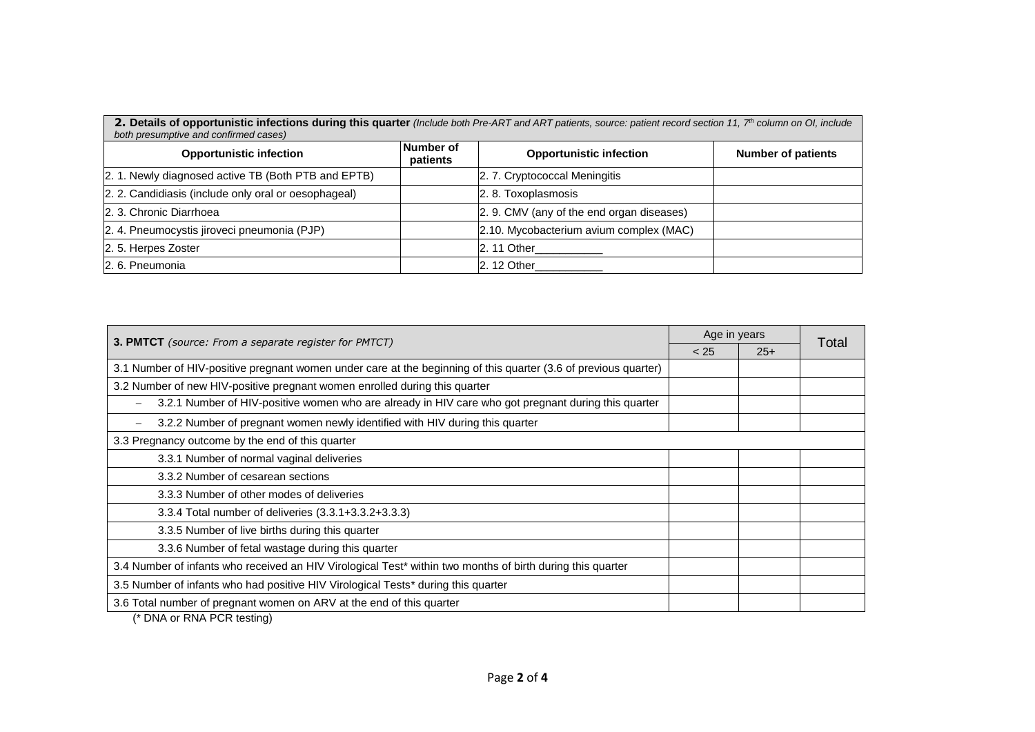| 2. Details of opportunistic infections during this quarter (Include both Pre-ART and ART patients, source: patient record section 11, 7 <sup>th</sup> column on OI, include<br>both presumptive and confirmed cases) |                       |                                           |                           |  |  |
|----------------------------------------------------------------------------------------------------------------------------------------------------------------------------------------------------------------------|-----------------------|-------------------------------------------|---------------------------|--|--|
| <b>Opportunistic infection</b>                                                                                                                                                                                       | Number of<br>patients | <b>Opportunistic infection</b>            | <b>Number of patients</b> |  |  |
| 2. 1. Newly diagnosed active TB (Both PTB and EPTB)                                                                                                                                                                  |                       | 2. 7. Cryptococcal Meningitis             |                           |  |  |
| 2. 2. Candidiasis (include only oral or oesophageal)                                                                                                                                                                 |                       | 2. 8. Toxoplasmosis                       |                           |  |  |
| 2. 3. Chronic Diarrhoea                                                                                                                                                                                              |                       | 2. 9. CMV (any of the end organ diseases) |                           |  |  |
| 2. 4. Pneumocystis jiroveci pneumonia (PJP)                                                                                                                                                                          |                       | 2.10. Mycobacterium avium complex (MAC)   |                           |  |  |
| 2.5. Herpes Zoster                                                                                                                                                                                                   |                       | 2. 11 Other                               |                           |  |  |
| 2. 6. Pneumonia                                                                                                                                                                                                      |                       | 2. 12 Other                               |                           |  |  |

| <b>3. PMTCT</b> (source: From a separate register for PMTCT)                                                    |  | Age in years |       |
|-----------------------------------------------------------------------------------------------------------------|--|--------------|-------|
|                                                                                                                 |  | $25+$        | Total |
| 3.1 Number of HIV-positive pregnant women under care at the beginning of this quarter (3.6 of previous quarter) |  |              |       |
| 3.2 Number of new HIV-positive pregnant women enrolled during this quarter                                      |  |              |       |
| 3.2.1 Number of HIV-positive women who are already in HIV care who got pregnant during this quarter             |  |              |       |
| 3.2.2 Number of pregnant women newly identified with HIV during this quarter                                    |  |              |       |
| 3.3 Pregnancy outcome by the end of this quarter                                                                |  |              |       |
| 3.3.1 Number of normal vaginal deliveries                                                                       |  |              |       |
| 3.3.2 Number of cesarean sections                                                                               |  |              |       |
| 3.3.3 Number of other modes of deliveries                                                                       |  |              |       |
| 3.3.4 Total number of deliveries (3.3.1+3.3.2+3.3.3)                                                            |  |              |       |
| 3.3.5 Number of live births during this quarter                                                                 |  |              |       |
| 3.3.6 Number of fetal wastage during this quarter                                                               |  |              |       |
| 3.4 Number of infants who received an HIV Virological Test* within two months of birth during this quarter      |  |              |       |
| 3.5 Number of infants who had positive HIV Virological Tests* during this quarter                               |  |              |       |
| 3.6 Total number of pregnant women on ARV at the end of this quarter                                            |  |              |       |
| $($ DNA $-$ DNA DOD $  \cdots$ $\cdots$                                                                         |  |              |       |

(\* DNA or RNA PCR testing)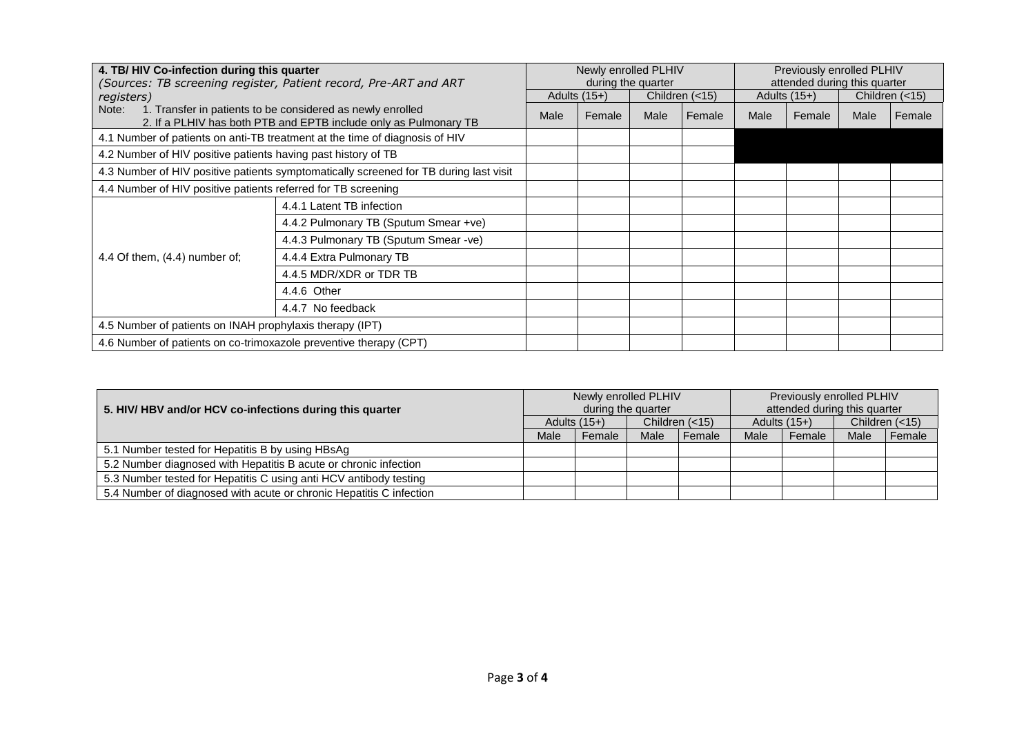| 4. TB/HIV Co-infection during this quarter                        |                                                                                                                                | Newly enrolled PLHIV |                |                    | Previously enrolled PLHIV |      |                              |      |                |
|-------------------------------------------------------------------|--------------------------------------------------------------------------------------------------------------------------------|----------------------|----------------|--------------------|---------------------------|------|------------------------------|------|----------------|
|                                                                   | (Sources: TB screening register, Patient record, Pre-ART and ART                                                               |                      |                | during the quarter |                           |      | attended during this quarter |      |                |
| registers)                                                        |                                                                                                                                |                      | Adults $(15+)$ |                    | Children $(<15)$          |      | Adults $(15+)$               |      | Children (<15) |
| Note:                                                             | 1. Transfer in patients to be considered as newly enrolled<br>2. If a PLHIV has both PTB and EPTB include only as Pulmonary TB | Male                 | Female         | Male               | Female                    | Male | Female                       | Male | Female         |
|                                                                   | 4.1 Number of patients on anti-TB treatment at the time of diagnosis of HIV                                                    |                      |                |                    |                           |      |                              |      |                |
| 4.2 Number of HIV positive patients having past history of TB     |                                                                                                                                |                      |                |                    |                           |      |                              |      |                |
|                                                                   | 4.3 Number of HIV positive patients symptomatically screened for TB during last visit                                          |                      |                |                    |                           |      |                              |      |                |
| 4.4 Number of HIV positive patients referred for TB screening     |                                                                                                                                |                      |                |                    |                           |      |                              |      |                |
|                                                                   | 4.4.1 Latent TB infection                                                                                                      |                      |                |                    |                           |      |                              |      |                |
|                                                                   | 4.4.2 Pulmonary TB (Sputum Smear +ve)                                                                                          |                      |                |                    |                           |      |                              |      |                |
|                                                                   | 4.4.3 Pulmonary TB (Sputum Smear -ve)                                                                                          |                      |                |                    |                           |      |                              |      |                |
| 4.4 Of them, $(4.4)$ number of;                                   | 4.4.4 Extra Pulmonary TB                                                                                                       |                      |                |                    |                           |      |                              |      |                |
|                                                                   | 4.4.5 MDR/XDR or TDR TB                                                                                                        |                      |                |                    |                           |      |                              |      |                |
|                                                                   | 4.4.6 Other                                                                                                                    |                      |                |                    |                           |      |                              |      |                |
|                                                                   | 4.4.7 No feedback                                                                                                              |                      |                |                    |                           |      |                              |      |                |
| 4.5 Number of patients on INAH prophylaxis therapy (IPT)          |                                                                                                                                |                      |                |                    |                           |      |                              |      |                |
| 4.6 Number of patients on co-trimoxazole preventive therapy (CPT) |                                                                                                                                |                      |                |                    |                           |      |                              |      |                |

| 5. HIV/ HBV and/or HCV co-infections during this quarter            |      | Newly enrolled PLHIV | during the quarter |                  |      | Previously enrolled PLHIV<br>attended during this quarter |      |                  |
|---------------------------------------------------------------------|------|----------------------|--------------------|------------------|------|-----------------------------------------------------------|------|------------------|
|                                                                     |      | Adults $(15+)$       |                    | Children $(<15)$ |      | Adults $(15+)$                                            |      | Children $(<15)$ |
|                                                                     | Male | Female               | Male               | Female           | Male | Female                                                    | Male | Female           |
| 5.1 Number tested for Hepatitis B by using HBsAg                    |      |                      |                    |                  |      |                                                           |      |                  |
| 5.2 Number diagnosed with Hepatitis B acute or chronic infection    |      |                      |                    |                  |      |                                                           |      |                  |
| 5.3 Number tested for Hepatitis C using anti HCV antibody testing   |      |                      |                    |                  |      |                                                           |      |                  |
| 5.4 Number of diagnosed with acute or chronic Hepatitis C infection |      |                      |                    |                  |      |                                                           |      |                  |